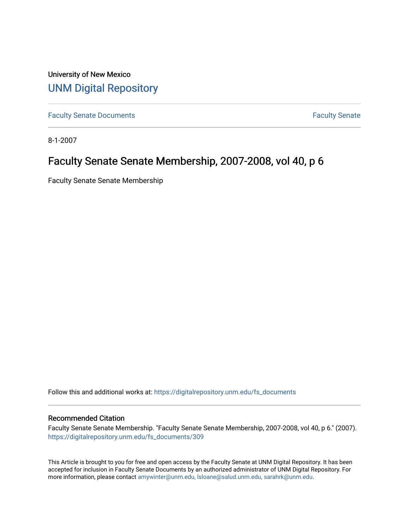University of New Mexico [UNM Digital Repository](https://digitalrepository.unm.edu/) 

[Faculty Senate Documents](https://digitalrepository.unm.edu/fs_documents) **Faculty** Senate **Faculty** Senate

8-1-2007

## Faculty Senate Senate Membership, 2007-2008, vol 40, p 6

Faculty Senate Senate Membership

Follow this and additional works at: [https://digitalrepository.unm.edu/fs\\_documents](https://digitalrepository.unm.edu/fs_documents?utm_source=digitalrepository.unm.edu%2Ffs_documents%2F309&utm_medium=PDF&utm_campaign=PDFCoverPages)

#### Recommended Citation

Faculty Senate Senate Membership. "Faculty Senate Senate Membership, 2007-2008, vol 40, p 6." (2007). [https://digitalrepository.unm.edu/fs\\_documents/309](https://digitalrepository.unm.edu/fs_documents/309?utm_source=digitalrepository.unm.edu%2Ffs_documents%2F309&utm_medium=PDF&utm_campaign=PDFCoverPages)

This Article is brought to you for free and open access by the Faculty Senate at UNM Digital Repository. It has been accepted for inclusion in Faculty Senate Documents by an authorized administrator of UNM Digital Repository. For more information, please contact [amywinter@unm.edu, lsloane@salud.unm.edu, sarahrk@unm.edu](mailto:amywinter@unm.edu,%20lsloane@salud.unm.edu,%20sarahrk@unm.edu).